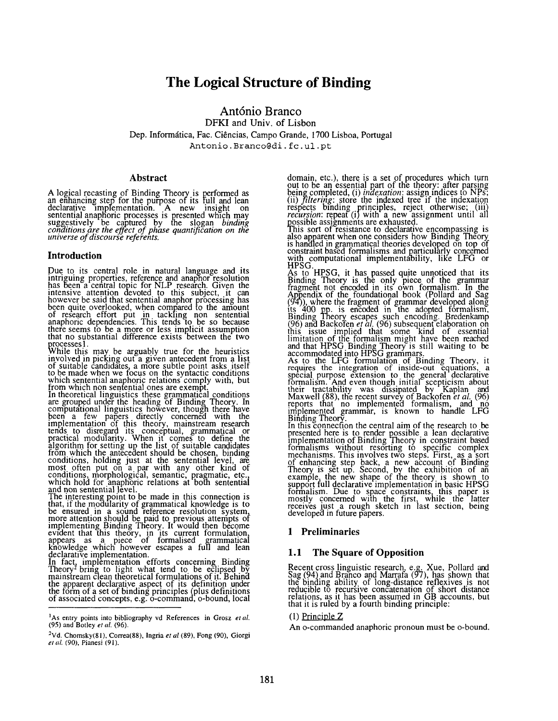# **The Logical Structure of Binding**

**Ant6nio Branco**  DFKI and Univ. of Lisbon Dep. Informática, Fac. Ciências, Campo Grande, 1700 Lisboa, Portugal Antonio.Branco@di. fc.ul .pt

# **Abstract**

A logical recasting of Binding Theory is performed as an enhancing step for the purpose of its full and lean<br>declarative implementation. A new insight on sentential anaphoric processes is presented which may suggestively be captured by the slogan *binding conclitions are me effect of phase quantification on the universe of discourse referents.* 

# **Introduction**

Due to its central role in natural language and its<br>intriguing properties, reference and anaphor resolution<br>has been a central topic for NLP research. Given the intensive attention devoted to this subject, it can<br>however be said that sentential anaphor processing has been quite overlooked, when compared io the amount of research effort put in tackling non sentential anaphoric dependencies. This tends to be so because there seems to be a more or less implicit assumption that no substantial difference exists between the two processes 1.

ile this may be arguably true for. the heuristics involved in picking out a given antecedent from a list<br>of suitable candidates, a more subtle point asks itself<br>to be made when we focus on the syntactic conditions<br>which sentential anaphoric relations comply with, but<br>from

In theoretical linguistics these grammatical conditions are grouped under the heading of Binding Theory. In computational linguistics however, though there have been a few papers directly concerned with the implementation of this theory, mainstream research<br>tends to disregard its conceptual, grammatical or<br>practical modularity. When it comes to define the algorithm for setting up the list of suitable candidates from which the antecedent should be chosen, binding<br>conditions, holding just at the sentential level, are most often put on a par with any other kind of conditions, morphological, semantic, pragmatic, etc.,

which hold for anaphoric relations at both sentential<br>and non sentential level.<br>The interesting point to be made in this connection is<br>that, if the modularity of grammatical knowledge is to<br>be ensured in a sound reference

declarative implementation.<br>In fact, implementation efforts concerning Binding<br>Theory<sup>2</sup> bring to light what tend to be eclip<u>sed</u> by mainstream clean theoretical formulations of it. Behind<br>the apparent declarative aspect of its definition under<br>the form of a set of binding principles (plus definitions<br>of associated concepts, e.g. o-command, o-bound, loc domain, etc.), there is a set of procedures which turn out to be an essential part of the theory: after parsing being completed, (i) *indexation*: assign indices to NPs; (ii) *filtering:* store the indexed tree it the indexation respects binding principles, reject otherwise; (iii) *recursion:* repeat (i)with a new assignment until all

possible assignments are exhausted.<br>This sort of resistance to declarative encompassing is also apparent when one considers how Binding Theory<br>is handled in grammatical theories developed on top of<br>constraint based formalisms and particularly concerned with computational implementability, like LFG or

HPSG. As to HPSG, it has passed quite unnoticed that its Binding Theory is the only piece of the grammar fragment not encoded in its own formalism. In the Appendix of the foundational book (Pollard and Sag<br>(94)), where the fragment of grammar developed along tts 700 pp. is encoded in the adopted formalism, Binding Theory\_ escapes such encoding. Bredenkamp (96) and Backot'en *et al..* (96) subsequent elaboration on this issue implied that some kind of essential<br>limitation of the formalism might have been reached and that HPSG Binding Theory is still waiting to be

accommodated into HPSG grammars.<br>As to the LFG formulation of Binding Theory, it<br>requires the integration of inside-out equations, a spécial purpose extension to the general declarative<br>formalism. And even though initial scepticism about<br>their tractability was dissipated by Kaplan and<br>Maxwell (88), the recent survey of Backofen *et al.* (96)<br>reports tha

In this connection the central aim of the research to be presented here is to render possible a lean declarative implementation of Binding Theory in constraint based formalisms without resorting to specific complex mechanisms. This involves two steps. First, as a sort of enhancing step back, a new account of Binding<br>Theory is set up. Second, by the exhibition of an example, the new shape of the theory is shown to support full declarative implementation in basic HPSG<br>formalism. Due to space constraints, this paper is<br>mostly concerned with the first, while the latter receives just a rough sketch in last section, being<br>developed in future papers.

# **1 Preliminaries**

# **1.1 The Square of Opposition**

Recent cross linguistic research, e.g. Xue, Pollard and Sag (94) and Branco and Marrafa (97), has shown that the binding ability of long-distance reflexives is not reducible to recursive concatenation of short distance relations, as it has been assumed in GB accounts, but that it is ruled by a fourth binding principle:

### (1) Principle Z

An o-commanded anaphoric pronoun must be o-bound.

<sup>&</sup>lt;sup>1</sup>As entry points into bibliography vd References in Grosz et al. (95) and Botley *et al.* (96).

<sup>&</sup>lt;sup>2</sup>Vd. Chomsky(81), Correa(88), Ingria et al (89), Fong (90), Giorgi *et al.* (90), Pianesi (91).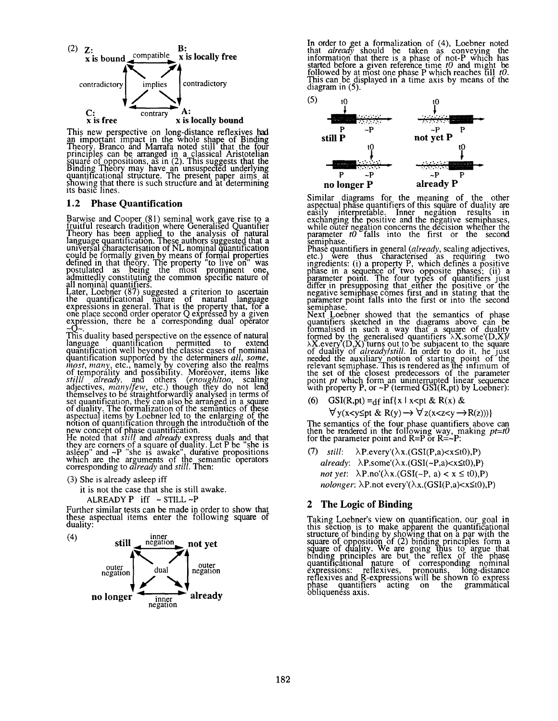

This new perspective on long-distance reflexives had an important impact in the whole shape of Binding Theory. Branco and Marrafa noted still that the four principles can be arranged in a classical Aristotelian<br>square of oppositions, as in (2). This suggests that the<br>Binding Theory may have an unsuspected underlying<br>quantificational structure. The present paper aims at showing that there is such structure and at determining<br>its basic lines.

# **1.2 Phase Quantification**

Barwise and Cooper (81) seminal work gave rise to a<br>fruitful research tradition where Generalised Quantifier Theory has been applied to the analysis of natural anguage quantification. These authors suggested that a universal characterisation of NL nominal quantification could be formally given by means of formal properties<br>defined in that theory. The property "to live on" was postulated as being the most prominent one,

admittedly constituting the common specific nature of<br>all nominal quantifiers.<br>Later, Loebner (87) suggested a criterion to ascertain<br>the quantificational nature of natural language expressions in general. That is the property that, for a one place second order operator Q expressed by a given expression, there be a corresponding dual operator

This duality based perspective on the essence of natural language quantification permitted to extend quantification well beyond the classic cases of nominal quantification supported by the determiners *all, some*, quantification supported by the determiners *all, some,*<br>*most, many*, etc., namely by covering also the realms of temporatity and possibility. Moreover, items like *stilll already*, and others *(enough/too,* scaling adjectives, *man)/few,* etc.) though they do not lend themselves to be straightforwardly analysed in terms of<br>set quantification, they can also be arranged in a square<br>of duality. The formalization of the semantics of these<br>aspectual items by Loeber led to the enlarging of th

He noted that *still* and *already* express duals and that<br>they are corners of a square of duality. Let P be "she is<br>asleep" and ~P "she is awake", durative propositions which are the arguments of the semantic operators corresponding to *already* and *still*. Then:

(3) She is already asleep iff

it is not the case that she is still awake.

ALREADY  $P$  iff  $\sim$  STILL  $\sim$ P

Further similar tests can be made in order to show that these aspectual items enter the following square of duality:



In order to get a formalization of (4), Loebner noted<br>that *already* should be taken as conveying the information that there is a phase of not-P which has started before a given reference time *t0* and might be <u>followed</u> by at most one phase P which reaches till *t0*. This can be displayed in a time axis by means of the diagram in (5).



Similar diagrams for the meaning of the other aspectual phase quantitiers at this square of duality are easily intemretable. Inner negation results in exchanging the positive and the negative semiphases, while outer negation concerns the decision whether the<br>parameter *to* falls into the first or the second semiphase.

Phase quantifiers in general (already, scaling adjectives, etc.) . were thus characterised as requiring two ingredients: (i) a property P, which defines a positive<br>phase in a sequence of two opposite phases; (ii) a<br>parameter point. The four types of quantifiers just differ in presupposing that either the positive or the negative semiphase comes first and in stating that the<br>parameter point falls into the first or into the second semiphase.

Next Loebner showed that the semantics of phase quantifiers sketched in the diagrams above can be communised in such a way that a square of duality formed by the generalised quantifiers  $\lambda X$ .some'(D,X)/<br> $\lambda X$ .every (D,X) turns out to be subjacent to the square<br>of duality of *already/still*. In order to do it, he just needed the auxiliary notion of starting point of the<br>relevant semiphase. This is rendered as the infimum of the set of the closest predecessors of the parameter point *pt* which form an uninterrupted linear sequence with property P, or ~P (termed GSI(R,pt) by Loebner):

(6) GSI(R,pt) = df inf{x | x < pt & R(x) &

 $\forall y(x\leq y \leq pt \& R(y) \rightarrow \forall z(x\leq z\leq y \rightarrow R(z)))$ 

The semantics of the four phase quantifiers above can then be rendered in the following way, making  $pt= t0$ for the parameter point and  $R=P$  or  $R=-P$ :

*still:*  $\lambda$ P.every'( $\lambda$ x.(GSI(P,a)<x\(20),P) *already:*  $\lambda$ P.some'( $\lambda$ x.(GSI(~P,a)<x $\leq$ t0),P) *not yet:*  $\lambda$ P.no'( $\lambda$ x.(GSI(~P, a) < x ≤ t0),P) *nolonger*:  $\lambda$ P.not every'( $\lambda$ x.(GSI(P,a)<x $\leq$ t0),P)

# **2 The Logic of Binding**

Taking Loebner's view on quantification, our goal in this section is to make apparent the quantificational structure of binding by showing that on a par with the<br>square of opposition of (2) binding principles form a<br>square of duality. We are going thus to argue that<br>binding principles are but the reflex of the phase<br>quantificat reflexives and R-expressions will be shown to express<br>phase quantifiers acting on the grammatical<br>obliqueness axis.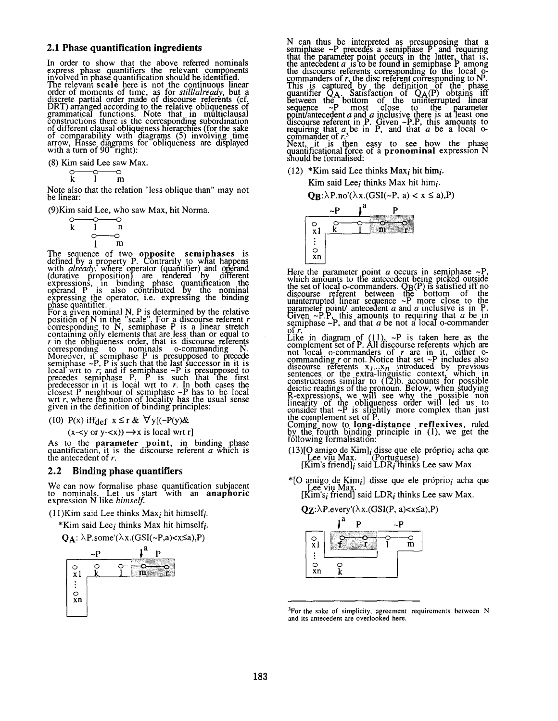### 2.1 Phase quantification ingredients

In order to show that the above referred nominals<br>express phase quantifiers the relevant components<br>involved in phase quantification should be identified.<br>The relevant scale here is not the continuous linear<br>order of mome

(8) Kim said Lee saw Max.

$$
\begin{array}{c}\n\circ & \circ \\
\hline\nk & 1 \\
m\n\end{array}
$$

Note also that the relation "less oblique than" may not be linear:

(9) Kim said Lee, who saw Max, hit Norma.

$$
\begin{array}{cc}\n & \circ & \circ \\
k & 1 & n \\
 & \circ & \circ \\
 & 1 & m\n\end{array}
$$

The sequence of two **opposite semiphases** is<br>defined by a property P. Contrarily to what happens<br>with *already*, where operator (quantifier) and operand<br>(durative proposition) are rendered by different<br>expressions, in bind

phase quantifier.<br>For a given nominal N, P is determined by the relative<br>position of N in the "scale". For a discourse referent r<br>corresponding to N, semiphase P is a linear stretch<br>containing only elements that are less t containing only elements that are less than or equal to <br>r in the obliqueness order, that is discourse referents<br>corresponding to normals o-commanding N.<br>Moreover, if semiphase P is presupposed to precede<br>semiphase ~P, P

(10) P(x) iffdef  $x \le r \& \forall y [(-P(y) \&$ 

 $(x -  or y $-)  $\rightarrow x$  is local wrt r]$$ 

As to the **parameter point**, in binding phase quantification, it is the discourse referent  $a$  which is the antecedent of  $r$ .

#### Binding phase quantifiers  $2.2^{\circ}$

We can now formalise phase quantification subjacent<br>to nominals. Let us start with an **anaphoric**<br>expression N like *himself*.

 $(11)$ Kim said Lee thinks Max<sub>i</sub> hit himself<sub>i</sub>.

\*Kim said Lee<sub>i</sub> thinks Max hit himself<sub>i</sub>.

 $Q_A$ :  $\lambda$ P.some'( $\lambda$ x.(GSI(~P,a)<x≤a),P)



N can thus be interpreted as presupposing that a<br>semiphase  $\sim$ P precedes a semiphase P and requiring<br>that the parameter point occurs in the latter, that is,<br>the antecedent *a* is to be found in semiphase P among<br>the disc

Next, it is then easy to see how the phase<br>quantificational force of a **pronominal** expression N<br>should be formalised:

 $(12)$  \*Kim said Lee thinks Max<sub>i</sub> hit him<sub>i</sub>.

Kim said Lee; thinks Max hit him;.

 $\mathbf{Q}_\mathbf{B}$ : $\lambda$ P.no'( $\lambda$ x.(GSI(~P, a) < x ≤ a),P)



Here the parameter point *a* occurs in semiphase  $\sim P$ ,<br>which amounts to the antecedent being picked outside<br>the set of local o-commanders. QB(P) is satisfied iff no<br>discourse referent between the bottom of the<br>uninterrup

Summary 1, the mate of the object of  $r$ .<br>Like in diagram of (11),  $\sim P$  is taken here as the<br>complement set of P. All discourse referents which are<br>not local o-commanders of r are in it, either o-<br>commanding r or not. No

Coming now to **long-distance** reflexives, ruled<br>by the fourth binding principle in (1), we get the<br>following formalisation:

(13) [O amigo de Kim]; disse que ele próprio; acha que<br>Lee viu Max. (Portuguese)<br>[Kim's friend]; said LDR; thinks Lee saw Max.

\*[O amigo de Kim<sub>i</sub>] disse que ele próprio<sub>i</sub> acha que Lee viu Max.<br>[Kim's<sub>i</sub> friend] said LDR<sub>i</sub> thinks Lee saw Max.

 $QZ:\lambda P.every'(\lambda x.(GSI(P, a) < x \le a), P)$ 



<sup>&</sup>lt;sup>3</sup>For the sake of simplicity, agreement requirements between N and its antecedent are overlooked here.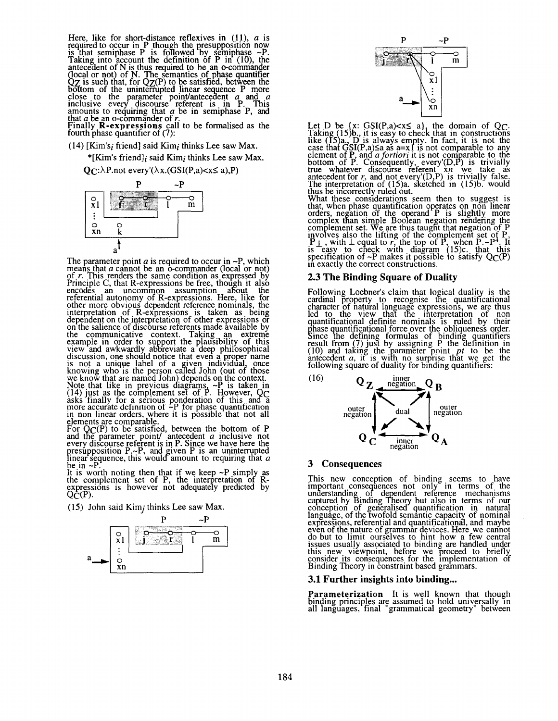Here, like for short-distance reflexives in (11), *a* is<br>required to occur in P though the presupposition now<br>is that semiphase P is followed by semiphase  $\sim P$ .<br>Taking into account the definition of P in (10), the<br>antece

 $(14)$  [Kim's<sub>i</sub> friend] said Kim<sub>i</sub> thinks Lee saw Max.

\*[Kim's friend]; said Kim; thinks Lee saw Max.

 $Q_{\mathbb{C}}$ : $\lambda$ P.not every' $(\lambda x. (GSI(P,a) < x \le a), P)$ 



The parameter point  $a$  is required to occur in  $\sim P$ , which<br>means that  $a$  cannot be an o-commander (local or not)<br>of  $r$ . This renders the same condition as expressed by<br>Principle C, that R-expressions be free, though i of r. This renders the same condition as expressed by<br>Principle C, that R-expressions be free, though it also<br>encodes an uncommon assumption about the<br>referential autonomy of R-expressions. Here, like for<br>ther more obviou

be in  $\neg$ I

It is worth noting then that if we keep  $\sim$ P simply as the complement set of P, the interpretation of R-<br>expressions is however not adequately predicted by  $Q\hat{\mathsf{C}}(\mathrm{P}).$ 

(15) John said Kim; thinks Lee saw Max.





Let D be {x: GSI(P,a)<x $\leq$  a}, the domain of QC.<br>Taking (15)b., it is easy to check that in constructions<br>like (15)a., D is always empty. In fact, it is not the<br>case that GSI(P,a) $\leq$ a as a=x1 is not comparable to any<br>

thus be incorrectly ruled out.<br>What these considerations seem then to suggest is<br>that, when phase quantification operates on non linear<br>orders, negation of the operand P is slightly more<br>complex than simple Boolean negati in exactly the correct constructions.

### 2.3 The Binding Square of Duality

Following Loebner's claim that logical duality is the cardinal property to recognise the quantificational character of natural language expressions, we are thus led to the view that the interpretation of non quantificatio



### 3 Consequences

This new conception of binding seems to have<br>important consequences not only in terms of the<br>understanding of dependent reference mechanisms<br>captured by Binding Theory but also in terms of our<br>conception of generalised qua

### 3.1 Further insights into binding...

**Parameterization** It is well known that though inding principles are assumed to hold universally in<br>all languages, final "grammatical geometry" between